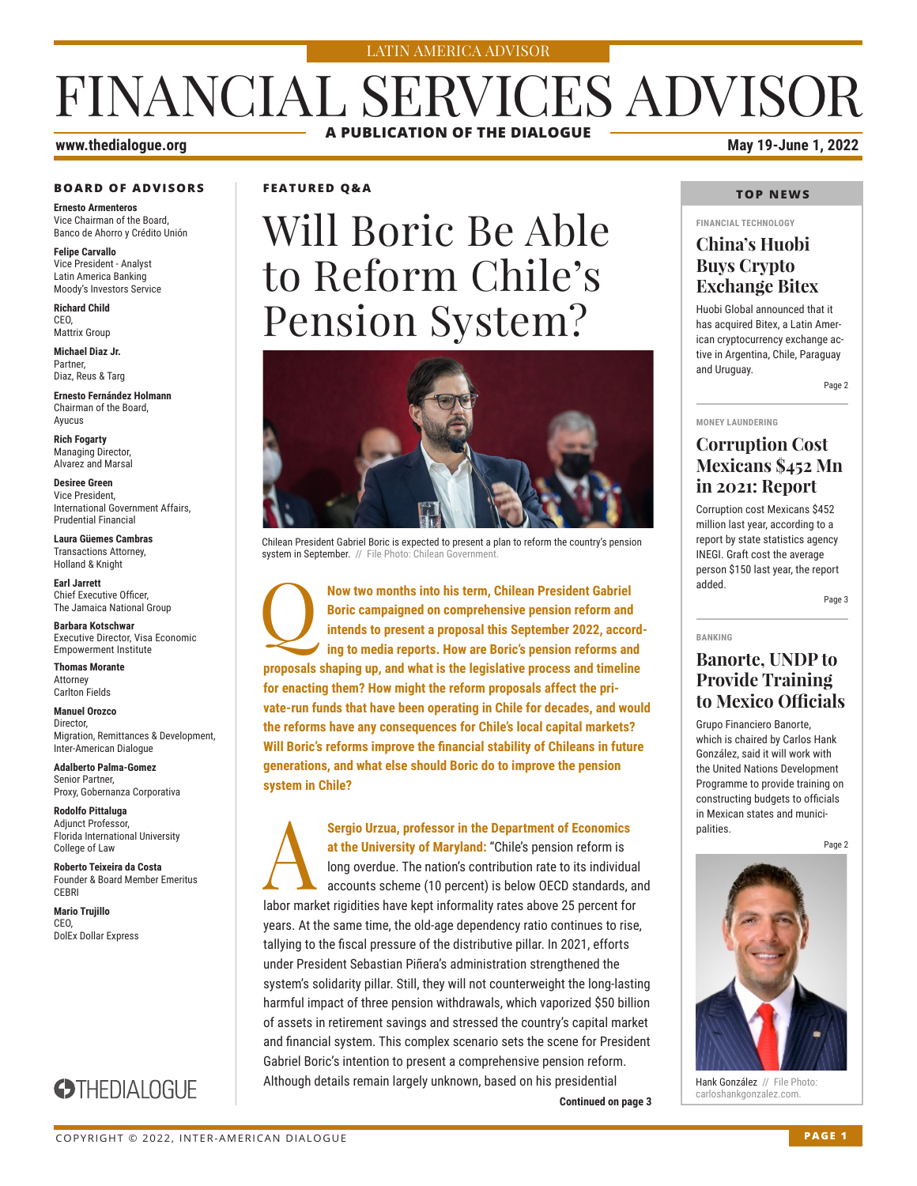#### LATIN AMERICA ADVISOR

## FINANCIAL SERVICES ADVISOR **A PUBLICATION OF THE DIALOGUE**

## **BOARD OF ADVISORS**

**Ernesto Armenteros** Vice Chairman of the Board, Banco de Ahorro y Crédito Unión

**Felipe Carvallo** Vice President - Analyst Latin America Banking Moody's Investors Service

**Richard Child** CEO, Mattrix Group

**Michael Diaz Jr.** Partner, Diaz, Reus & Targ

**Ernesto Fernández Holmann** Chairman of the Board, Ayucus

**Rich Fogarty** Managing Director, Alvarez and Marsal

**Desiree Green** Vice President, International Government Affairs, Prudential Financial

**Laura Güemes Cambras** Transactions Attorney, Holland & Knight

**Earl Jarrett** Chief Executive Officer, The Jamaica National Group

**Barbara Kotschwar** Executive Director, Visa Economic Empowerment Institute

**Thomas Morante** Attorney Carlton Fields

**Manuel Orozco** Director, Migration, Remittances & Development, Inter-American Dialogue

**Adalberto Palma-Gomez** Senior Partner, Proxy, Gobernanza Corporativa

**Rodolfo Pittaluga** Adjunct Professor, Florida International University College of Law

**Roberto Teixeira da Costa** Founder & Board Member Emeritus CEBRI

**Mario Trujillo** CEO, DolEx Dollar Express

## **STHEDIALOGUE**

**FEATURED Q&A**

# Will Boric Be Able to Reform Chile's Pension System?



Chilean President Gabriel Boric is expected to present a plan to reform the country's pension system in September. // File Photo: Chilean Government.

**Now two months into his term, Chilean President Gabriel Boric campaigned on comprehensive pension reform and intends to present a proposal this September 2022, according to media reports. How are Boric's pension reforms a Boric campaigned on comprehensive pension reform and intends to present a proposal this September 2022, according to media reports. How are Boric's pension reforms and proposals shaping up, and what is the legislative process and timeline for enacting them? How might the reform proposals affect the private-run funds that have been operating in Chile for decades, and would the reforms have any consequences for Chile's local capital markets? Will Boric's reforms improve the financial stability of Chileans in future generations, and what else should Boric do to improve the pension system in Chile?**

Sergio Urzua, professor in the Department of Economics<br>
at the University of Maryland: "Chile's pension reform is<br>
long overdue. The nation's contribution rate to its individua<br>
accounts scheme (10 percent) is below OECD s **at the University of Maryland:** "Chile's pension reform is long overdue. The nation's contribution rate to its individual accounts scheme (10 percent) is below OECD standards, and labor market rigidities have kept informality rates above 25 percent for years. At the same time, the old-age dependency ratio continues to rise, tallying to the fiscal pressure of the distributive pillar. In 2021, efforts under President Sebastian Piñera's administration strengthened the system's solidarity pillar. Still, they will not counterweight the long-lasting harmful impact of three pension withdrawals, which vaporized \$50 billion of assets in retirement savings and stressed the country's capital market and financial system. This complex scenario sets the scene for President Gabriel Boric's intention to present a comprehensive pension reform. Although details remain largely unknown, based on his presidential

**Continued on page 3** 

**www.thedialogue.org May 19-June 1, 2022**

#### **TOP NEWS**

**FINANCIAL TECHNOLOGY**

### **China's Huobi Buys Crypto Exchange Bitex**

Huobi Global announced that it has acquired Bitex, a Latin American cryptocurrency exchange active in Argentina, Chile, Paraguay and Uruguay.

Page 2

#### **MONEY LAUNDERING**

**BANKING**

### **Corruption Cost Mexicans \$452 Mn in 2021: Report**

Corruption cost Mexicans \$452 million last year, according to a report by state statistics agency INEGI. Graft cost the average person \$150 last year, the report added.

Page 3

### **Banorte, UNDP to Provide Training to Mexico Officials**

Grupo Financiero Banorte, which is chaired by Carlos Hank González, said it will work with the United Nations Development Programme to provide training on constructing budgets to officials in Mexican states and municipalities.

Page 2



Hank González // File Photo:<br>carloshankgonzalez.com.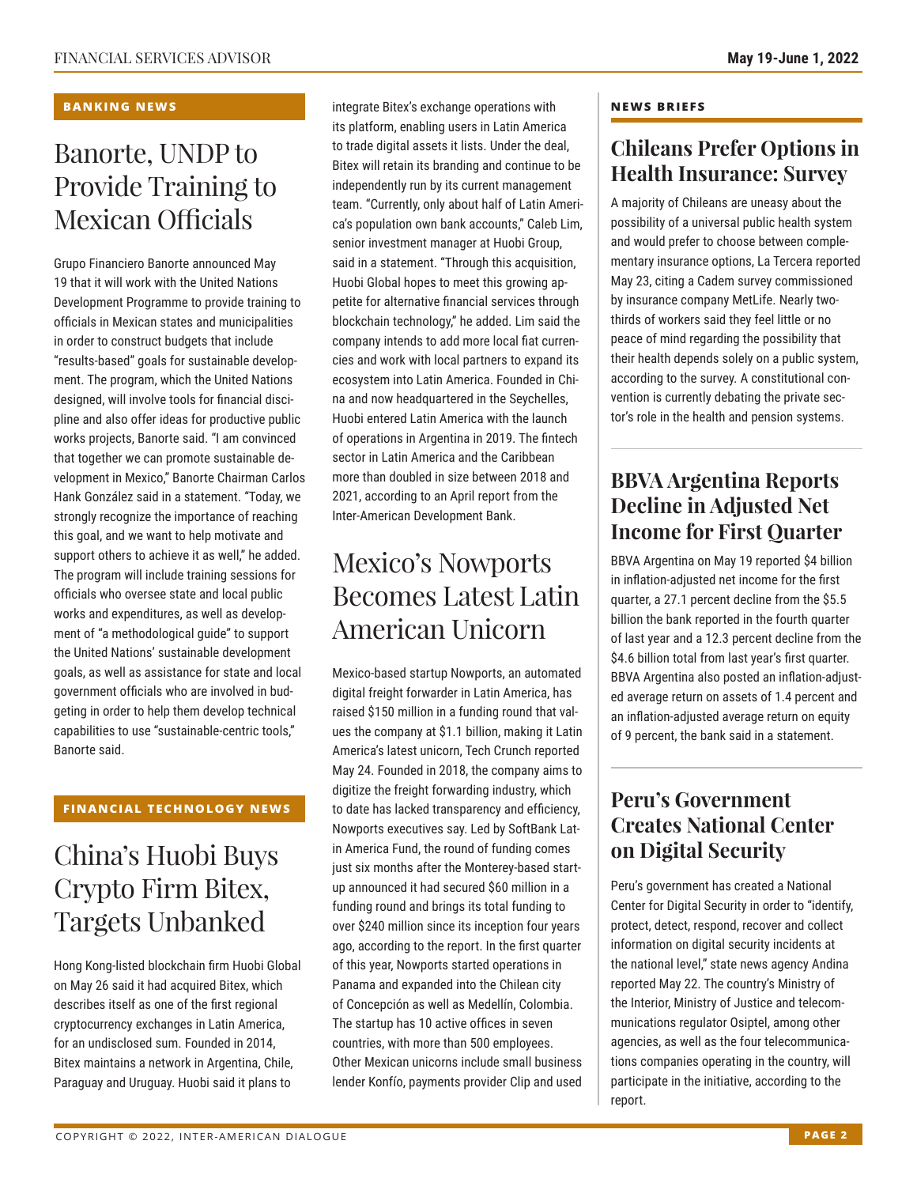#### **BANKING NEWS**

## Banorte, UNDP to Provide Training to Mexican Officials

Grupo Financiero Banorte announced May 19 that it will work with the United Nations Development Programme to provide training to officials in Mexican states and municipalities in order to construct budgets that include "results-based" goals for sustainable development. The program, which the United Nations designed, will involve tools for financial discipline and also offer ideas for productive public works projects, Banorte said. "I am convinced that together we can promote sustainable development in Mexico," Banorte Chairman Carlos Hank González said in a statement. "Today, we strongly recognize the importance of reaching this goal, and we want to help motivate and support others to achieve it as well," he added. The program will include training sessions for officials who oversee state and local public works and expenditures, as well as development of "a methodological guide" to support the United Nations' sustainable development goals, as well as assistance for state and local government officials who are involved in budgeting in order to help them develop technical capabilities to use "sustainable-centric tools," Banorte said.

#### **FINANCIAL TECHNOLOGY NEWS**

## China's Huobi Buys Crypto Firm Bitex, Targets Unbanked

Hong Kong-listed blockchain firm Huobi Global on May 26 said it had acquired Bitex, which describes itself as one of the first regional cryptocurrency exchanges in Latin America, for an undisclosed sum. Founded in 2014, Bitex maintains a network in Argentina, Chile, Paraguay and Uruguay. Huobi said it plans to

integrate Bitex's exchange operations with its platform, enabling users in Latin America to trade digital assets it lists. Under the deal, Bitex will retain its branding and continue to be independently run by its current management team. "Currently, only about half of Latin America's population own bank accounts," Caleb Lim, senior investment manager at Huobi Group, said in a statement. "Through this acquisition, Huobi Global hopes to meet this growing appetite for alternative financial services through blockchain technology," he added. Lim said the company intends to add more local fiat currencies and work with local partners to expand its ecosystem into Latin America. Founded in China and now headquartered in the Seychelles, Huobi entered Latin America with the launch of operations in Argentina in 2019. The fintech sector in Latin America and the Caribbean more than doubled in size between 2018 and 2021, according to an April report from the Inter-American Development Bank.

## Mexico's Nowports Becomes Latest Latin American Unicorn

Mexico-based startup Nowports, an automated digital freight forwarder in Latin America, has raised \$150 million in a funding round that values the company at \$1.1 billion, making it Latin America's latest unicorn, Tech Crunch reported May 24. Founded in 2018, the company aims to digitize the freight forwarding industry, which to date has lacked transparency and efficiency, Nowports executives say. Led by SoftBank Latin America Fund, the round of funding comes just six months after the Monterey-based startup announced it had secured \$60 million in a funding round and brings its total funding to over \$240 million since its inception four years ago, according to the report. In the first quarter of this year, Nowports started operations in Panama and expanded into the Chilean city of Concepción as well as Medellín, Colombia. The startup has 10 active offices in seven countries, with more than 500 employees. Other Mexican unicorns include small business lender Konfío, payments provider Clip and used

#### **NEWS BRIEFS**

### **Chileans Prefer Options in Health Insurance: Survey**

A majority of Chileans are uneasy about the possibility of a universal public health system and would prefer to choose between complementary insurance options, La Tercera reported May 23, citing a Cadem survey commissioned by insurance company MetLife. Nearly twothirds of workers said they feel little or no peace of mind regarding the possibility that their health depends solely on a public system, according to the survey. A constitutional convention is currently debating the private sector's role in the health and pension systems.

### **BBVA Argentina Reports Decline in Adjusted Net Income for First Quarter**

BBVA Argentina on May 19 reported \$4 billion in inflation-adjusted net income for the first quarter, a 27.1 percent decline from the \$5.5 billion the bank reported in the fourth quarter of last year and a 12.3 percent decline from the \$4.6 billion total from last year's first quarter. BBVA Argentina also posted an inflation-adjusted average return on assets of 1.4 percent and an inflation-adjusted average return on equity of 9 percent, the bank said in a statement.

### **Peru's Government Creates National Center on Digital Security**

Peru's government has created a National Center for Digital Security in order to "identify, protect, detect, respond, recover and collect information on digital security incidents at the national level," state news agency Andina reported May 22. The country's Ministry of the Interior, Ministry of Justice and telecommunications regulator Osiptel, among other agencies, as well as the four telecommunications companies operating in the country, will participate in the initiative, according to the report.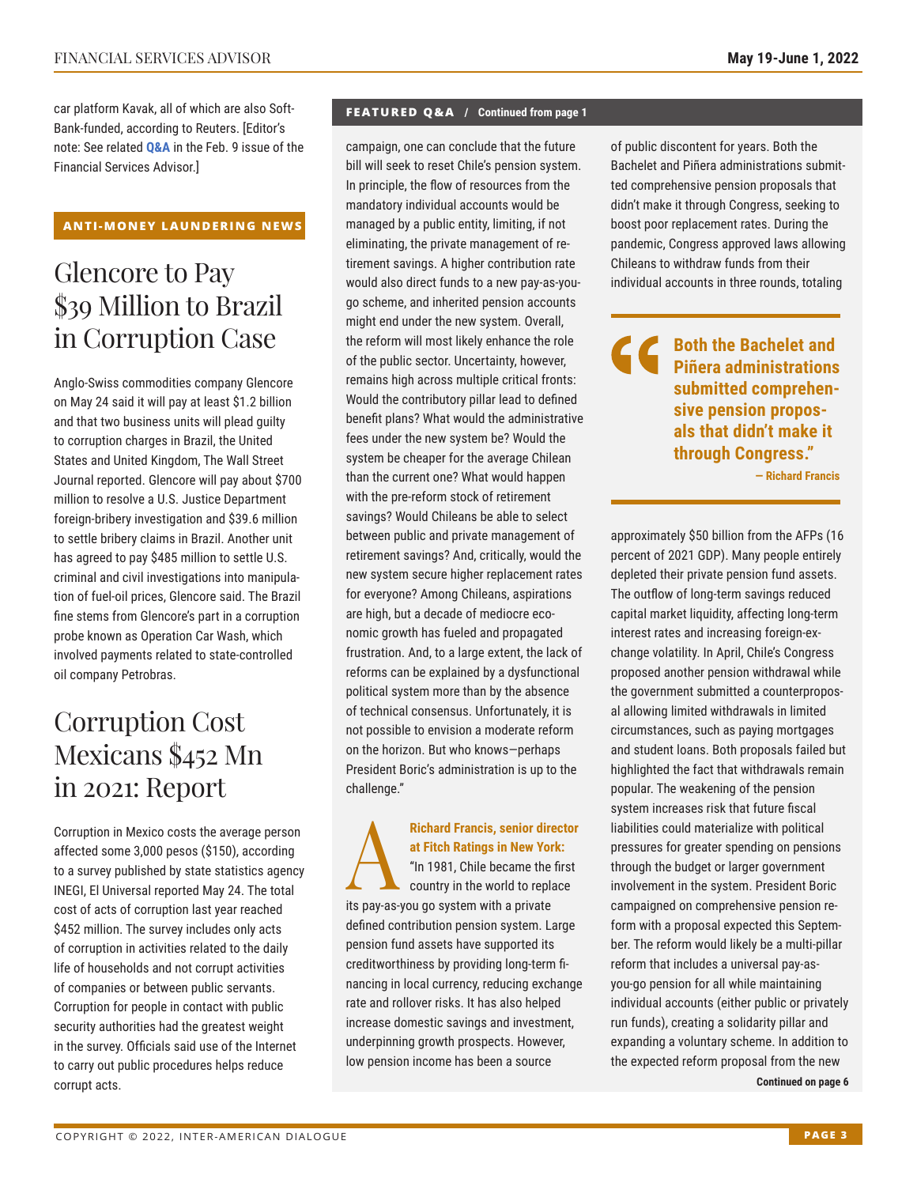car platform Kavak, all of which are also Soft-Bank-funded, according to Reuters. [Editor's note: See related **[Q&A](https://www.thedialogue.org/wp-content/uploads/2022/02/FSA220209.pdf)** in the Feb. 9 issue of the Financial Services Advisor.]

#### **ANTI-MONEY LAUNDERING NEWS**

## Glencore to Pay \$39 Million to Brazil in Corruption Case

Anglo-Swiss commodities company Glencore on May 24 said it will pay at least \$1.2 billion and that two business units will plead guilty to corruption charges in Brazil, the United States and United Kingdom, The Wall Street Journal reported. Glencore will pay about \$700 million to resolve a U.S. Justice Department foreign-bribery investigation and \$39.6 million to settle bribery claims in Brazil. Another unit has agreed to pay \$485 million to settle U.S. criminal and civil investigations into manipulation of fuel-oil prices, Glencore said. The Brazil fine stems from Glencore's part in a corruption probe known as Operation Car Wash, which involved payments related to state-controlled oil company Petrobras.

## Corruption Cost Mexicans \$452 Mn in 2021: Report

Corruption in Mexico costs the average person affected some 3,000 pesos (\$150), according to a survey published by state statistics agency INEGI, El Universal reported May 24. The total cost of acts of corruption last year reached \$452 million. The survey includes only acts of corruption in activities related to the daily life of households and not corrupt activities of companies or between public servants. Corruption for people in contact with public security authorities had the greatest weight in the survey. Officials said use of the Internet to carry out public procedures helps reduce corrupt acts.

#### **FEATURED Q&A / Continued from page 1**

campaign, one can conclude that the future bill will seek to reset Chile's pension system. In principle, the flow of resources from the mandatory individual accounts would be managed by a public entity, limiting, if not eliminating, the private management of retirement savings. A higher contribution rate would also direct funds to a new pay-as-yougo scheme, and inherited pension accounts might end under the new system. Overall, the reform will most likely enhance the role of the public sector. Uncertainty, however, remains high across multiple critical fronts: Would the contributory pillar lead to defined benefit plans? What would the administrative fees under the new system be? Would the system be cheaper for the average Chilean than the current one? What would happen with the pre-reform stock of retirement savings? Would Chileans be able to select between public and private management of retirement savings? And, critically, would the new system secure higher replacement rates for everyone? Among Chileans, aspirations are high, but a decade of mediocre economic growth has fueled and propagated frustration. And, to a large extent, the lack of reforms can be explained by a dysfunctional political system more than by the absence of technical consensus. Unfortunately, it is not possible to envision a moderate reform on the horizon. But who knows—perhaps President Boric's administration is up to the challenge."

## Richard Francis, senior director<br>at Fitch Ratings in New York:<br>"In 1981, Chile became the first<br>country in the world to replace **at Fitch Ratings in New York:** "In 1981, Chile became the first

country in the world to replace its pay-as-you go system with a private defined contribution pension system. Large pension fund assets have supported its creditworthiness by providing long-term financing in local currency, reducing exchange rate and rollover risks. It has also helped increase domestic savings and investment, underpinning growth prospects. However, low pension income has been a source

of public discontent for years. Both the Bachelet and Piñera administrations submitted comprehensive pension proposals that didn't make it through Congress, seeking to boost poor replacement rates. During the pandemic, Congress approved laws allowing Chileans to withdraw funds from their individual accounts in three rounds, totaling

**Both the Bachelet and Piñera administrations submitted comprehensive pension proposals that didn't make it through Congress."**

**— Richard Francis** 

approximately \$50 billion from the AFPs (16 percent of 2021 GDP). Many people entirely depleted their private pension fund assets. The outflow of long-term savings reduced capital market liquidity, affecting long-term interest rates and increasing foreign-exchange volatility. In April, Chile's Congress proposed another pension withdrawal while the government submitted a counterproposal allowing limited withdrawals in limited circumstances, such as paying mortgages and student loans. Both proposals failed but highlighted the fact that withdrawals remain popular. The weakening of the pension system increases risk that future fiscal liabilities could materialize with political pressures for greater spending on pensions through the budget or larger government involvement in the system. President Boric campaigned on comprehensive pension reform with a proposal expected this September. The reform would likely be a multi-pillar reform that includes a universal pay-asyou-go pension for all while maintaining individual accounts (either public or privately run funds), creating a solidarity pillar and expanding a voluntary scheme. In addition to the expected reform proposal from the new

**Continued on page 6**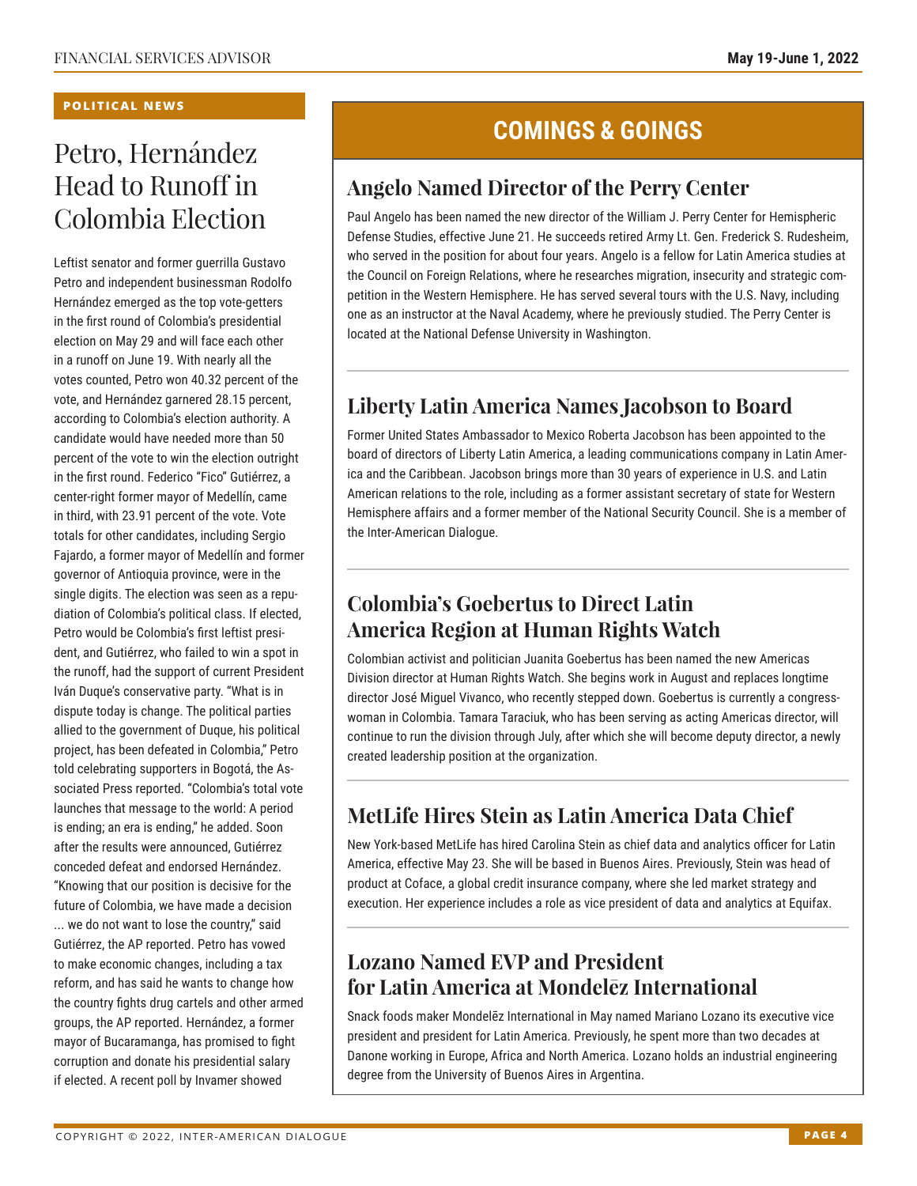#### **POLITICAL NEWS**

## Petro, Hernández Head to Runoff in Colombia Election

Leftist senator and former guerrilla Gustavo Petro and independent businessman Rodolfo Hernández emerged as the top vote-getters in the first round of Colombia's presidential election on May 29 and will face each other in a runoff on June 19. With nearly all the votes counted, Petro won 40.32 percent of the vote, and Hernández garnered 28.15 percent, according to Colombia's election authority. A candidate would have needed more than 50 percent of the vote to win the election outright in the first round. Federico "Fico" Gutiérrez, a center-right former mayor of Medellín, came in third, with 23.91 percent of the vote. Vote totals for other candidates, including Sergio Fajardo, a former mayor of Medellín and former governor of Antioquia province, were in the single digits. The election was seen as a repudiation of Colombia's political class. If elected, Petro would be Colombia's first leftist president, and Gutiérrez, who failed to win a spot in the runoff, had the support of current President Iván Duque's conservative party. "What is in dispute today is change. The political parties allied to the government of Duque, his political project, has been defeated in Colombia," Petro told celebrating supporters in Bogotá, the Associated Press reported. "Colombia's total vote launches that message to the world: A period is ending; an era is ending," he added. Soon after the results were announced, Gutiérrez conceded defeat and endorsed Hernández. "Knowing that our position is decisive for the future of Colombia, we have made a decision ... we do not want to lose the country," said Gutiérrez, the AP reported. Petro has vowed to make economic changes, including a tax reform, and has said he wants to change how the country fights drug cartels and other armed groups, the AP reported. Hernández, a former mayor of Bucaramanga, has promised to fight corruption and donate his presidential salary if elected. A recent poll by Invamer showed

## **COMINGS & GOINGS**

### **Angelo Named Director of the Perry Center**

Paul Angelo has been named the new director of the William J. Perry Center for Hemispheric Defense Studies, effective June 21. He succeeds retired Army Lt. Gen. Frederick S. Rudesheim, who served in the position for about four years. Angelo is a fellow for Latin America studies at the Council on Foreign Relations, where he researches migration, insecurity and strategic competition in the Western Hemisphere. He has served several tours with the U.S. Navy, including one as an instructor at the Naval Academy, where he previously studied. The Perry Center is located at the National Defense University in Washington.

### **Liberty Latin America Names Jacobson to Board**

Former United States Ambassador to Mexico Roberta Jacobson has been appointed to the board of directors of Liberty Latin America, a leading communications company in Latin America and the Caribbean. Jacobson brings more than 30 years of experience in U.S. and Latin American relations to the role, including as a former assistant secretary of state for Western Hemisphere affairs and a former member of the National Security Council. She is a member of the Inter-American Dialogue.

### **Colombia's Goebertus to Direct Latin America Region at Human Rights Watch**

Colombian activist and politician Juanita Goebertus has been named the new Americas Division director at Human Rights Watch. She begins work in August and replaces longtime director José Miguel Vivanco, who recently stepped down. Goebertus is currently a congresswoman in Colombia. Tamara Taraciuk, who has been serving as acting Americas director, will continue to run the division through July, after which she will become deputy director, a newly created leadership position at the organization.

### **MetLife Hires Stein as Latin America Data Chief**

New York-based MetLife has hired Carolina Stein as chief data and analytics officer for Latin America, effective May 23. She will be based in Buenos Aires. Previously, Stein was head of product at Coface, a global credit insurance company, where she led market strategy and execution. Her experience includes a role as vice president of data and analytics at Equifax.

### **Lozano Named EVP and President for Latin America at Mondelēz International**

Snack foods maker Mondelēz International in May named Mariano Lozano its executive vice president and president for Latin America. Previously, he spent more than two decades at Danone working in Europe, Africa and North America. Lozano holds an industrial engineering degree from the University of Buenos Aires in Argentina.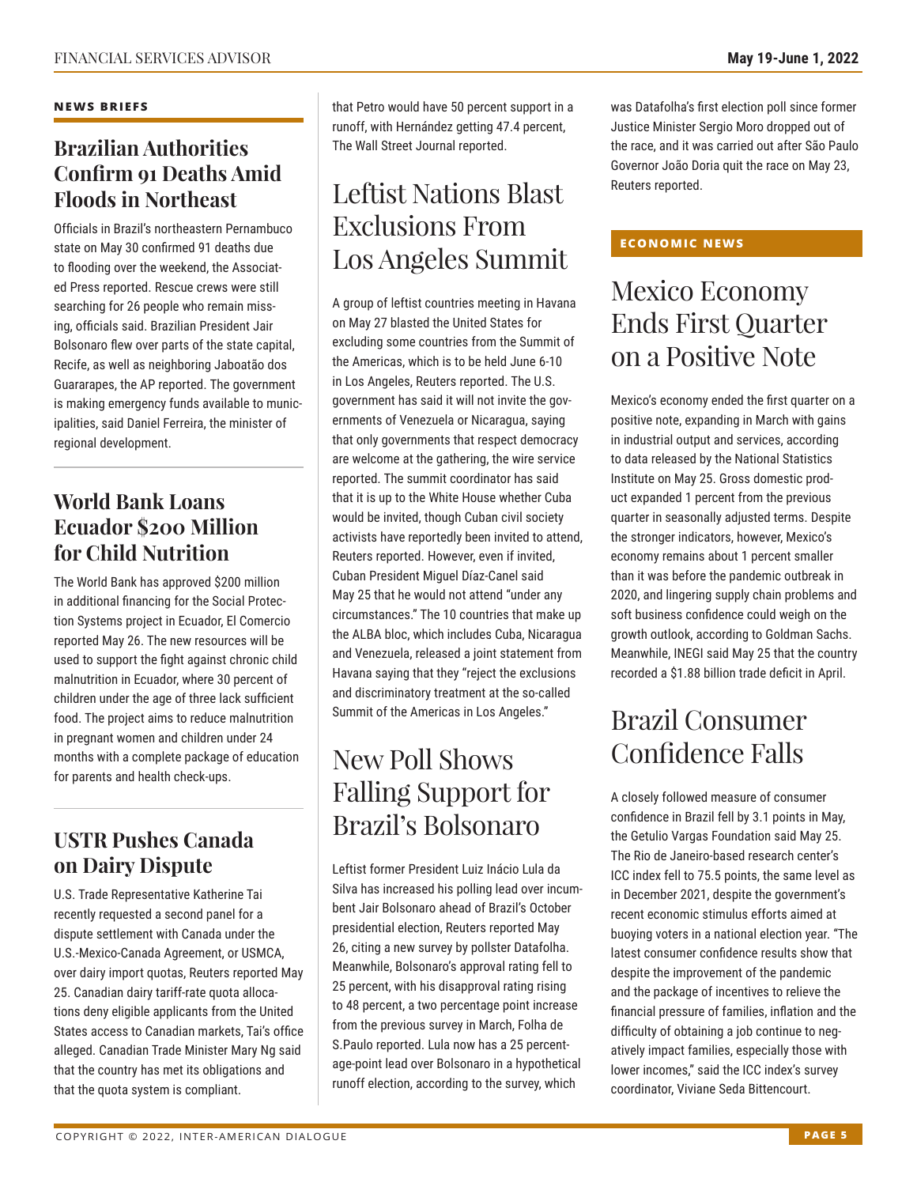#### **NEWS BRIEFS**

### **Brazilian Authorities Confirm 91 Deaths Amid Floods in Northeast**

Officials in Brazil's northeastern Pernambuco state on May 30 confirmed 91 deaths due to flooding over the weekend, the Associated Press reported. Rescue crews were still searching for 26 people who remain missing, officials said. Brazilian President Jair Bolsonaro flew over parts of the state capital, Recife, as well as neighboring Jaboatão dos Guararapes, the AP reported. The government is making emergency funds available to municipalities, said Daniel Ferreira, the minister of regional development.

### **World Bank Loans Ecuador \$200 Million for Child Nutrition**

The World Bank has approved \$200 million in additional financing for the Social Protection Systems project in Ecuador, El Comercio reported May 26. The new resources will be used to support the fight against chronic child malnutrition in Ecuador, where 30 percent of children under the age of three lack sufficient food. The project aims to reduce malnutrition in pregnant women and children under 24 months with a complete package of education for parents and health check-ups.

### **USTR Pushes Canada on Dairy Dispute**

U.S. Trade Representative Katherine Tai recently requested a second panel for a dispute settlement with Canada under the U.S.-Mexico-Canada Agreement, or USMCA, over dairy import quotas, Reuters reported May 25. Canadian dairy tariff-rate quota allocations deny eligible applicants from the United States access to Canadian markets, Tai's office alleged. Canadian Trade Minister Mary Ng said that the country has met its obligations and that the quota system is compliant.

that Petro would have 50 percent support in a runoff, with Hernández getting 47.4 percent, The Wall Street Journal reported.

## Leftist Nations Blast Exclusions From Los Angeles Summit

A group of leftist countries meeting in Havana on May 27 blasted the United States for excluding some countries from the Summit of the Americas, which is to be held June 6-10 in Los Angeles, Reuters reported. The U.S. government has said it will not invite the governments of Venezuela or Nicaragua, saying that only governments that respect democracy are welcome at the gathering, the wire service reported. The summit coordinator has said that it is up to the White House whether Cuba would be invited, though Cuban civil society activists have reportedly been invited to attend, Reuters reported. However, even if invited, Cuban President Miguel Díaz-Canel said May 25 that he would not attend "under any circumstances." The 10 countries that make up the ALBA bloc, which includes Cuba, Nicaragua and Venezuela, released a joint statement from Havana saying that they "reject the exclusions and discriminatory treatment at the so-called Summit of the Americas in Los Angeles."

## New Poll Shows Falling Support for Brazil's Bolsonaro

Leftist former President Luiz Inácio Lula da Silva has increased his polling lead over incumbent Jair Bolsonaro ahead of Brazil's October presidential election, Reuters reported May 26, citing a new survey by pollster Datafolha. Meanwhile, Bolsonaro's approval rating fell to 25 percent, with his disapproval rating rising to 48 percent, a two percentage point increase from the previous survey in March, Folha de S.Paulo reported. Lula now has a 25 percentage-point lead over Bolsonaro in a hypothetical runoff election, according to the survey, which

was Datafolha's first election poll since former Justice Minister Sergio Moro dropped out of the race, and it was carried out after São Paulo Governor João Doria quit the race on May 23, Reuters reported.

### **ECONOMIC NEWS**

## Mexico Economy Ends First Quarter on a Positive Note

Mexico's economy ended the first quarter on a positive note, expanding in March with gains in industrial output and services, according to data released by the National Statistics Institute on May 25. Gross domestic product expanded 1 percent from the previous quarter in seasonally adjusted terms. Despite the stronger indicators, however, Mexico's economy remains about 1 percent smaller than it was before the pandemic outbreak in 2020, and lingering supply chain problems and soft business confidence could weigh on the growth outlook, according to Goldman Sachs. Meanwhile, INEGI said May 25 that the country recorded a \$1.88 billion trade deficit in April.

## Brazil Consumer Confidence Falls

A closely followed measure of consumer confidence in Brazil fell by 3.1 points in May, the Getulio Vargas Foundation said May 25. The Rio de Janeiro-based research center's ICC index fell to 75.5 points, the same level as in December 2021, despite the government's recent economic stimulus efforts aimed at buoying voters in a national election year. "The latest consumer confidence results show that despite the improvement of the pandemic and the package of incentives to relieve the financial pressure of families, inflation and the difficulty of obtaining a job continue to negatively impact families, especially those with lower incomes," said the ICC index's survey coordinator, Viviane Seda Bittencourt.